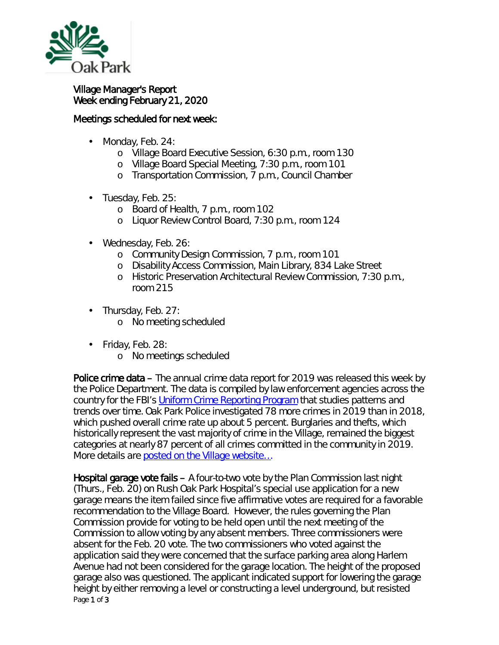

## Village Manager's Report Week ending February 21, 2020

## Meetings scheduled for next week:

- Monday, Feb. 24: ä,
	- o Village Board Executive Session, 6:30 p.m., room 130
	- o Village Board Special Meeting, 7:30 p.m., room 101
	- o Transportation Commission, 7 p.m., Council Chamber
- Tuesday, Feb. 25:
	- o Board of Health, 7 p.m., room 102
	- o Liquor Review Control Board, 7:30 p.m., room 124
- Wednesday, Feb. 26:
	- o Community Design Commission, 7 p.m., room 101
	- o Disability Access Commission, Main Library, 834 Lake Street
	- o Historic Preservation Architectural Review Commission, 7:30 p.m., room 215
- Thursday, Feb. 27: ¥,
	- o No meeting scheduled
- Friday, Feb. 28: ä,
	- o No meetings scheduled

Police crime data – The annual crime data report for 2019 was released this week by the Police Department. The data is compiled by law enforcement agencies across the country for the FBI's [Uniform Crime Reporting Program](https://icjia.illinois.gov/researchhub/articles/about-uniform-crime-reporting-program-data) that studies patterns and trends over time. Oak Park Police investigated 78 more crimes in 2019 than in 2018, which pushed overall crime rate up about 5 percent. Burglaries and thefts, which historically represent the vast majority of crime in the Village, remained the biggest categories at nearly 87 percent of all crimes committed in the community in 2019. More details are posted on the Village website...

Page 1 of 3 Hospital garage vote fails – A four-to-two vote by the Plan Commission last night (Thurs., Feb. 20) on Rush Oak Park Hospital's special use application for a new garage means the item failed since five affirmative votes are required for a favorable recommendation to the Village Board. However, the rules governing the Plan Commission provide for voting to be held open until the next meeting of the Commission to allow voting by any absent members. Three commissioners were absent for the Feb. 20 vote. The two commissioners who voted against the application said they were concerned that the surface parking area along Harlem Avenue had not been considered for the garage location. The height of the proposed garage also was questioned. The applicant indicated support for lowering the garage height by either removing a level or constructing a level underground, but resisted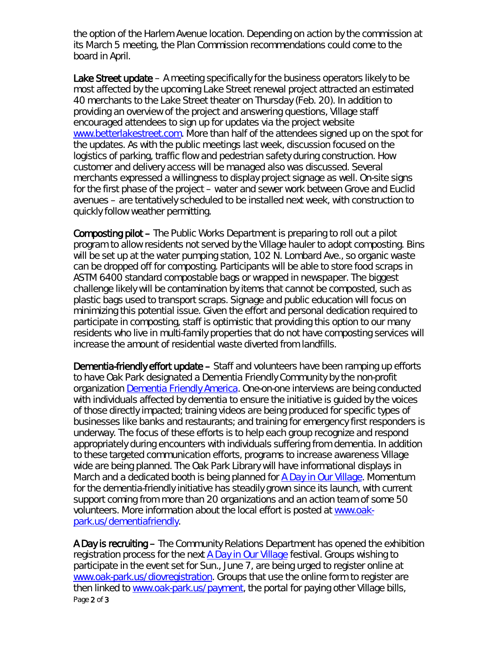the option of the Harlem Avenue location. Depending on action by the commission at its March 5 meeting, the Plan Commission recommendations could come to the board in April.

Lake Street update  $-$  A meeting specifically for the business operators likely to be most affected by the upcoming Lake Street renewal project attracted an estimated 40 merchants to the Lake Street theater on Thursday (Feb. 20). In addition to providing an overview of the project and answering questions, Village staff encouraged attendees to sign up for updates via the project website [www.betterlakestreet.com.](http://www.betterlakestreet.com/) More than half of the attendees signed up on the spot for the updates. As with the public meetings last week, discussion focused on the logistics of parking, traffic flow and pedestrian safety during construction. How customer and delivery access will be managed also was discussed. Several merchants expressed a willingness to display project signage as well. On-site signs for the first phase of the project – water and sewer work between Grove and Euclid avenues – are tentatively scheduled to be installed next week, with construction to quickly follow weather permitting.

Composting pilot – The Public Works Department is preparing to roll out a pilot program to allow residents not served by the Village hauler to adopt composting. Bins will be set up at the water pumping station, 102 N. Lombard Ave., so organic waste can be dropped off for composting. Participants will be able to store food scraps in ASTM 6400 standard compostable bags or wrapped in newspaper. The biggest challenge likely will be contamination by items that cannot be composted, such as plastic bags used to transport scraps. Signage and public education will focus on minimizing this potential issue. Given the effort and personal dedication required to participate in composting, staff is optimistic that providing this option to our many residents who live in multi-family properties that do not have composting services will increase the amount of residential waste diverted from landfills.

Dementia-friendly effort update – Staff and volunteers have been ramping up efforts to have Oak Park designated a *Dementia Friendly Community* by the non-profit organization [Dementia Friendly America.](https://www.dfamerica.org/) One-on-one interviews are being conducted with individuals affected by dementia to ensure the initiative is guided by the voices of those directly impacted; training videos are being produced for specific types of businesses like banks and restaurants; and training for emergency first responders is underway. The focus of these efforts is to help each group recognize and respond appropriately during encounters with individuals suffering from dementia. In addition to these targeted communication efforts, programs to increase awareness Village wide are being planned. The Oak Park Library will have informational displays in March and a dedicated booth is being planned for *[A Day in Our Village](https://www.oak-park.us/our-community/special-events/day-our-village)*. Momentum for the dementia-friendly initiative has steadily grown since its launch, with current support coming from more than 20 organizations and an action team of some 50 volunteers. More information about the local effort is posted at [www.oak](http://www.oak-park.us/dementiafriendly)[park.us/dementiafriendly.](http://www.oak-park.us/dementiafriendly)

Page 2 of 3 A Day is recruiting – The Community Relations Department has opened the exhibition registration process for the next *[A Day in Our Village](https://www.oak-park.us/our-community/special-events/day-our-village)* festival. Groups wishing to participate in the event set for Sun., June 7, are being urged to register online at [www.oak-park.us/diovregistration.](http://www.oak-park.us/diovregistration) Groups that use the online form to register are then linked to [www.oak-park.us/payment,](http://www.oak-park.us/payment) the portal for paying other Village bills,